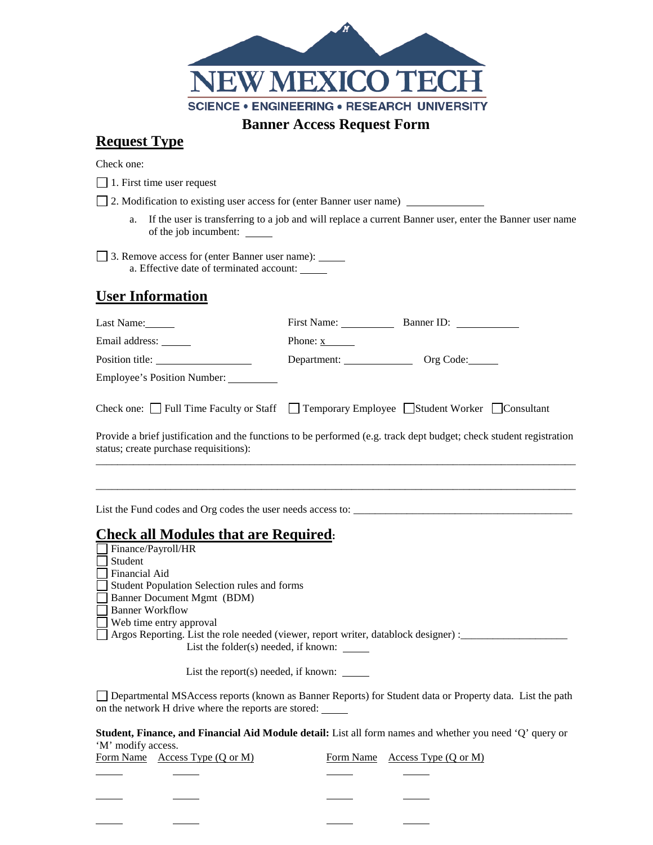

## **Request Type**

Check one:

1. First time user request

2. Modification to existing user access for (enter Banner user name)

a. If the user is transferring to a job and will replace a current Banner user, enter the Banner user name of the job incumbent:

3. Remove access for (enter Banner user name): a. Effective date of terminated account:

## **User Information**

| Last Name:                                                                                                                                                    |                        | First Name: Banner ID: |
|---------------------------------------------------------------------------------------------------------------------------------------------------------------|------------------------|------------------------|
| Email address: ______                                                                                                                                         | Phone: $\underline{x}$ |                        |
|                                                                                                                                                               | Department: Org Code:  |                        |
| Employee's Position Number:                                                                                                                                   |                        |                        |
| Check one: $\Box$ Full Time Faculty or Staff $\Box$ Temporary Employee $\Box$ Student Worker $\Box$ Consultant                                                |                        |                        |
| Provide a brief justification and the functions to be performed (e.g. track dept budget; check student registration<br>status; create purchase requisitions): |                        |                        |
|                                                                                                                                                               |                        |                        |
| List the Fund codes and Org codes the user needs access to:                                                                                                   |                        |                        |
| <b>Check all Modules that are Required.</b>                                                                                                                   |                        |                        |
| $\Box$ Finance/Payroll/HR                                                                                                                                     |                        |                        |
| Student                                                                                                                                                       |                        |                        |
| Financial Aid                                                                                                                                                 |                        |                        |
| Student Population Selection rules and forms                                                                                                                  |                        |                        |
| Banner Document Mgmt (BDM)                                                                                                                                    |                        |                        |

Banner Workflow

Web time entry approval

Argos Reporting. List the role needed (viewer, report writer, datablock designer) : \_\_\_\_\_\_\_\_\_\_\_\_\_\_\_\_\_\_\_\_\_\_\_\_\_\_ List the folder(s) needed, if known: \_\_\_\_\_\_

List the report(s) needed, if known: \_\_\_\_\_

Departmental MSAccess reports (known as Banner Reports) for Student data or Property data. List the path on the network H drive where the reports are stored:

**Student, Finance, and Financial Aid Module detail:** List all form names and whether you need 'Q' query or 'M' modify access.

|  | Form Name Access Type (Q or M) |  | Form Name Access Type $(Q \text{ or } M)$ |
|--|--------------------------------|--|-------------------------------------------|
|--|--------------------------------|--|-------------------------------------------|